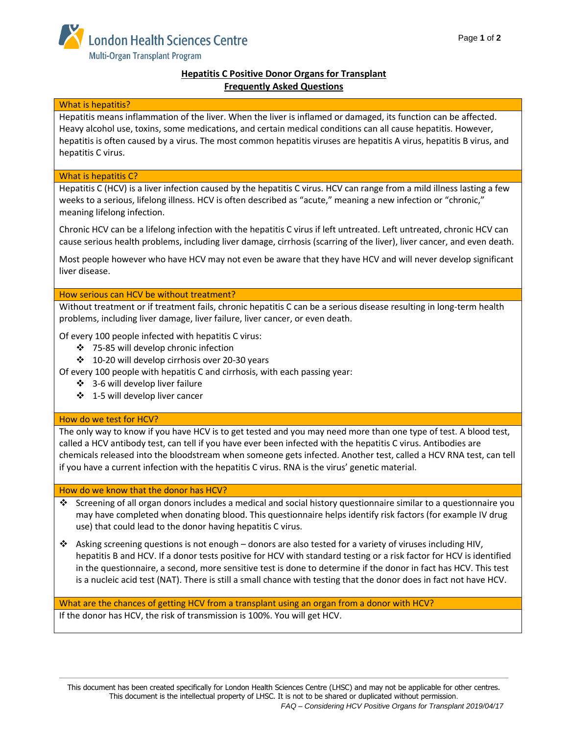

# **Hepatitis C Positive Donor Organs for Transplant Frequently Asked Questions**

## What is hepatitis?

Hepatitis means inflammation of the liver. When the liver is inflamed or damaged, its function can be affected. Heavy alcohol use, toxins, some medications, and certain medical conditions can all cause hepatitis. However, hepatitis is often caused by a virus. The most common hepatitis viruses are hepatitis A virus, hepatitis B virus, and hepatitis C virus.

## What is hepatitis C?

Hepatitis C (HCV) is a liver infection caused by the hepatitis C virus. HCV can range from a mild illness lasting a few weeks to a serious, lifelong illness. HCV is often described as "acute," meaning a new infection or "chronic," meaning lifelong infection.

Chronic HCV can be a lifelong infection with the hepatitis C virus if left untreated. Left untreated, chronic HCV can cause serious health problems, including liver damage, cirrhosis (scarring of the liver), liver cancer, and even death.

Most people however who have HCV may not even be aware that they have HCV and will never develop significant liver disease.

How serious can HCV be without treatment?

Without treatment or if treatment fails, chronic hepatitis C can be a serious disease resulting in long-term health problems, including liver damage, liver failure, liver cancer, or even death.

Of every 100 people infected with hepatitis C virus:

- 75-85 will develop chronic infection
- 10-20 will develop cirrhosis over 20-30 years

Of every 100 people with hepatitis C and cirrhosis, with each passing year:

- ❖ 3-6 will develop liver failure
- ❖ 1-5 will develop liver cancer

## How do we test for HCV?

The only way to know if you have HCV is to get tested and you may need more than one type of test. A blood test, called a HCV antibody test, can tell if you have ever been infected with the hepatitis C virus. Antibodies are chemicals released into the bloodstream when someone gets infected. Another test, called a HCV RNA test, can tell if you have a current infection with the hepatitis C virus. RNA is the virus' genetic material.

#### How do we know that the donor has HCV?

- Screening of all organ donors includes a medical and social history questionnaire similar to a questionnaire you may have completed when donating blood. This questionnaire helps identify risk factors (for example IV drug use) that could lead to the donor having hepatitis C virus.
- $\cdot$  Asking screening questions is not enough donors are also tested for a variety of viruses including HIV, hepatitis B and HCV. If a donor tests positive for HCV with standard testing or a risk factor for HCV is identified in the questionnaire, a second, more sensitive test is done to determine if the donor in fact has HCV. This test is a nucleic acid test (NAT). There is still a small chance with testing that the donor does in fact not have HCV.

What are the chances of getting HCV from a transplant using an organ from a donor with HCV? If the donor has HCV, the risk of transmission is 100%. You will get HCV.

This document has been created specifically for London Health Sciences Centre (LHSC) and may not be applicable for other centres. This document is the intellectual property of LHSC. It is not to be shared or duplicated without permission. *FAQ – Considering HCV Positive Organs for Transplant 2019/04/17*